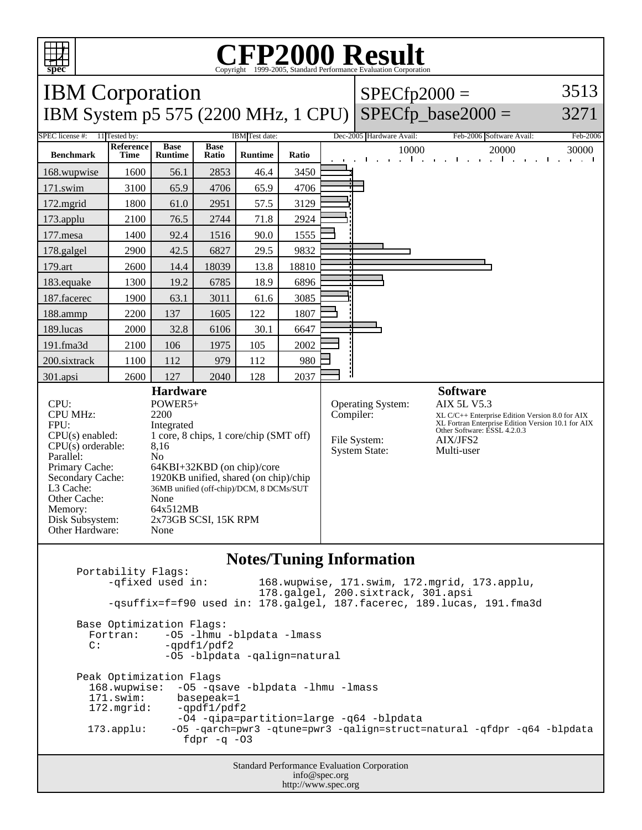

## C<sub>opyright</sub> ©1999-2005, Standard Performance Evaluation Corporation

| <b>IBM</b> Corporation                                                                                                                                                                                                                                                                                                                                                                                                                                                                                        |                   |                               |                      |                |           |                                                           | $SPECfp2000 =$                                                                                                                                                                                           |                                                               | 3513       |
|---------------------------------------------------------------------------------------------------------------------------------------------------------------------------------------------------------------------------------------------------------------------------------------------------------------------------------------------------------------------------------------------------------------------------------------------------------------------------------------------------------------|-------------------|-------------------------------|----------------------|----------------|-----------|-----------------------------------------------------------|----------------------------------------------------------------------------------------------------------------------------------------------------------------------------------------------------------|---------------------------------------------------------------|------------|
| IBM System p5 575 (2200 MHz, 1 CPU)                                                                                                                                                                                                                                                                                                                                                                                                                                                                           |                   |                               |                      |                |           |                                                           |                                                                                                                                                                                                          | $SPECfp\_base2000 =$                                          | 3271       |
| SPEC license #:<br>11 Tested by:<br>IBM Test date:                                                                                                                                                                                                                                                                                                                                                                                                                                                            |                   |                               |                      |                |           |                                                           | Dec-2005 Hardware Avail:                                                                                                                                                                                 | Feb-2006 Software Avail:                                      | Feb-2006   |
| <b>Benchmark</b>                                                                                                                                                                                                                                                                                                                                                                                                                                                                                              | Reference<br>Time | <b>Base</b><br><b>Runtime</b> | <b>Base</b><br>Ratio | <b>Runtime</b> | Ratio     |                                                           | 10000                                                                                                                                                                                                    | 20000<br><b>The Contract Contract</b><br>and a final contract | 30000<br>. |
| 168.wupwise                                                                                                                                                                                                                                                                                                                                                                                                                                                                                                   | 1600              | 56.1                          | 2853                 | 46.4           | 3450      |                                                           |                                                                                                                                                                                                          |                                                               |            |
| 171.swim                                                                                                                                                                                                                                                                                                                                                                                                                                                                                                      | 3100              | 65.9                          | 4706                 | 65.9           | 4706      |                                                           |                                                                                                                                                                                                          |                                                               |            |
| 172.mgrid                                                                                                                                                                                                                                                                                                                                                                                                                                                                                                     | 1800              | 61.0                          | 2951                 | 57.5           | 3129      |                                                           |                                                                                                                                                                                                          |                                                               |            |
| 173.applu                                                                                                                                                                                                                                                                                                                                                                                                                                                                                                     | 2100              | 76.5                          | 2744                 | 71.8           | 2924      |                                                           |                                                                                                                                                                                                          |                                                               |            |
| 177.mesa                                                                                                                                                                                                                                                                                                                                                                                                                                                                                                      | 1400              | 92.4                          | 1516                 | 90.0           | 1555      |                                                           |                                                                                                                                                                                                          |                                                               |            |
| 178.galgel                                                                                                                                                                                                                                                                                                                                                                                                                                                                                                    | 2900              | 42.5                          | 6827                 | 29.5           | 9832      |                                                           |                                                                                                                                                                                                          |                                                               |            |
| 179.art                                                                                                                                                                                                                                                                                                                                                                                                                                                                                                       | 2600              | 14.4                          | 18039                | 13.8           | 18810     |                                                           |                                                                                                                                                                                                          |                                                               |            |
| 183.equake                                                                                                                                                                                                                                                                                                                                                                                                                                                                                                    | 1300              | 19.2                          | 6785                 | 18.9           | 6896      |                                                           |                                                                                                                                                                                                          |                                                               |            |
| 187.facerec                                                                                                                                                                                                                                                                                                                                                                                                                                                                                                   | 1900              | 63.1                          | 3011                 | 61.6           | 3085      |                                                           |                                                                                                                                                                                                          |                                                               |            |
| 188.ammp                                                                                                                                                                                                                                                                                                                                                                                                                                                                                                      | 2200              | 137                           | 1605                 | 122            | 1807      |                                                           |                                                                                                                                                                                                          |                                                               |            |
| 189.lucas                                                                                                                                                                                                                                                                                                                                                                                                                                                                                                     | 2000              | 32.8                          | 6106                 | 30.1           | 6647      |                                                           |                                                                                                                                                                                                          |                                                               |            |
| 191.fma3d                                                                                                                                                                                                                                                                                                                                                                                                                                                                                                     | 2100              | 106                           | 1975                 | 105            | 2002      |                                                           |                                                                                                                                                                                                          |                                                               |            |
| 200.sixtrack                                                                                                                                                                                                                                                                                                                                                                                                                                                                                                  | 1100              | 112                           | 979                  | 112            | 980       |                                                           |                                                                                                                                                                                                          |                                                               |            |
| 301.apsi                                                                                                                                                                                                                                                                                                                                                                                                                                                                                                      | 2600              | 127                           | 2040                 | 128            | 2037      |                                                           |                                                                                                                                                                                                          |                                                               |            |
| <b>Hardware</b><br>$CPI$ :<br>POWER5+<br><b>CPU MHz:</b><br>2200<br>FPU:<br>Integrated<br>1 core, 8 chips, 1 core/chip (SMT off)<br>$CPU(s)$ enabled:<br>$CPU(s)$ orderable:<br>8,16<br>Parallel:<br>N <sub>o</sub><br>Primary Cache:<br>64KBI+32KBD (on chip)/core<br>1920KB unified, shared (on chip)/chip<br>Secondary Cache:<br>L3 Cache:<br>36MB unified (off-chip)/DCM, 8 DCMs/SUT<br>Other Cache:<br>None<br>Memory:<br>64x512MB<br>Disk Subsystem:<br>2x73GB SCSI, 15K RPM<br>Other Hardware:<br>None |                   |                               |                      |                | Compiler: | Operating System:<br>File System:<br><b>System State:</b> | <b>Software</b><br><b>AIX 5L V5.3</b><br>XL C/C++ Enterprise Edition Version 8.0 for AIX<br>XL Fortran Enterprise Edition Version 10.1 for AIX<br>Other Software: ESSL 4.2.0.3<br>AIX/JFS2<br>Multi-user |                                                               |            |

## **Notes/Tuning Information**

Portability Flags:<br>-qfixed used in: 168.wupwise, 171.swim, 172.mgrid, 173.applu, 178.galgel, 200.sixtrack, 301.apsi -qsuffix=f=f90 used in: 178.galgel, 187.facerec, 189.lucas, 191.fma3d Base Optimization Flags: Fortran: -05 -1hmu -blpdata -1mass<br>C: -ordf1/pdf2  $-qpdf1/pdf2$  -O5 -blpdata -qalign=natural Peak Optimization Flags 168.wupwise: -O5 -qsave -blpdata -lhmu -lmass 171.swim: basepeak=1<br>172.mgrid: -qpdf1/pdf  $-qpdf1/pdf2$  -O4 -qipa=partition=large -q64 -blpdata 173.applu: -O5 -qarch=pwr3 -qtune=pwr3 -qalign=struct=natural -qfdpr -q64 -blpdata fdpr  $-q$  -03

> Standard Performance Evaluation Corporation info@spec.org http://www.spec.org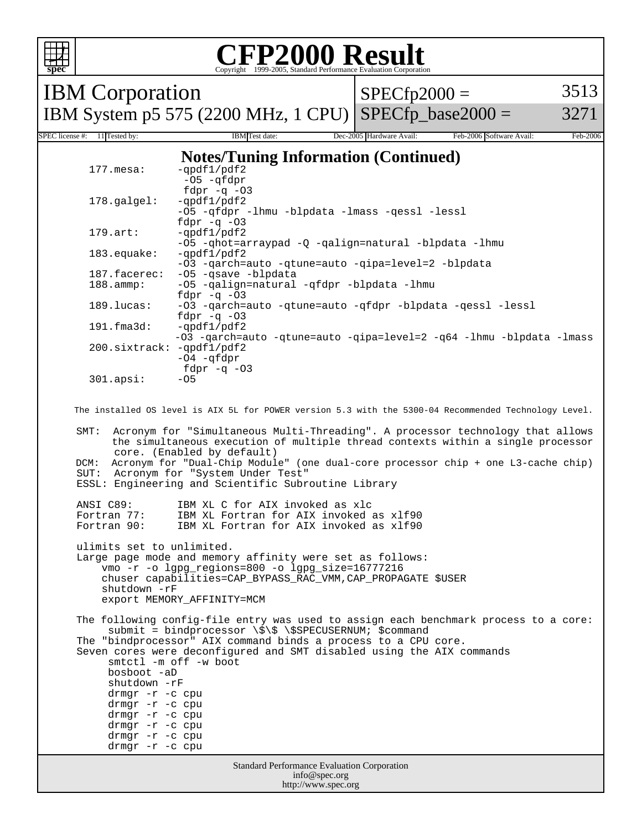